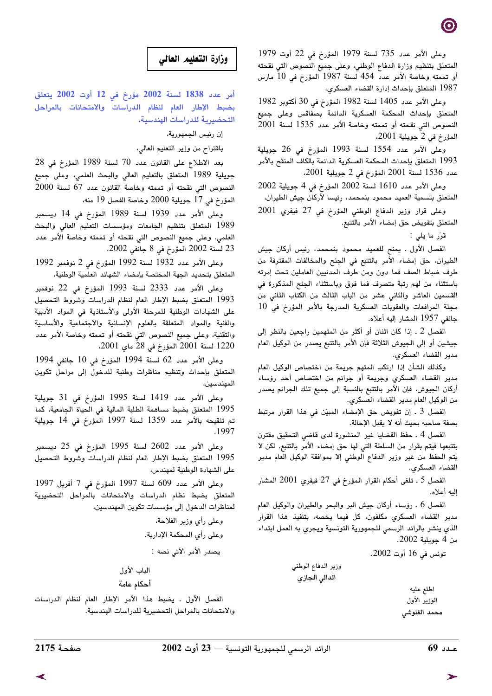وعلى الأمر عدد 735 لسنة 1979 المؤرخ في 22 أوت 1979 المتعلق بتنظيم وزارة الدفاع الوطني، وعلى جميع النصوص التي نقحته أو تممته وخاصة الأمر عدد 454 لسنة 1987 المؤرخ في 10 مارس 1987 المتعلق بإحداث إدارة القضاء العسكري،

وعلى الأمر عدد 1405 لسنة 1982 المؤرخ في 30 أكتوبر 1982 المتعلق بإحداث المحكمة العسكرية الدائمة بصفاقس وعلى جميع النصوص التي نقحته أو تممته وخاصة الأمر عدد 1535 لسنة 2001 المؤرخ في 2 جويلية 2001،

وعلى الأمر عدد 1554 لسنة 1993 المؤرخ في 26 جويلية 1993 المتعلق بإحداث المحكمة العسكرية الدائمة بالكاف المنقح بالأمر عدد 1536 لسنة 2001 المؤرخ في 2 جويلية 2001،

وعلى الأمر عدد 1610 لسنة 2002 المؤرخ في 4 جويلية 2002 المتعلق بتسمية العميد محمود بنمحمد، رئيسا لأركان جيش الطيران،

وعلى قرار وزير الدفاع الوطني المؤرخ في 27 فيفري 2001 المتعلق بتفويض حق إمضاء الأمر بالتتبع.

قرّر ما يلي :

الفصل الأول . يمنح للعميد محمود بنمحمد، رئيس أركان جيش الطيران، حق إمضاء الأمر بالتتبع في الجنح والمخالفات المقترفة من طرف ضباط الصف فما دون ومن طرف المدنيين العاملين تحت إمرته باستثناء من لهم رتبة متصرف فما فوق وباستثناء الجنح المذكورة في القسمين العاشر والثاني عشر من الباب الثالث من الكتاب الثاني من مجلة المرافعات والعقوبات العسكرية المدرجة بالأمر المؤرخ في 10 جانفي 1957 المشار إليه أعلاه.

الفصل 2 . إذا كان اثنان أو أكثر من المتهمين راجعين بالنظر إلى جيشين أو إلى الجيوش الثلاثة فإن الأمر بالتتبع يصدر من الوكيل العام مدير القضاء العسكري.

وكذلك الشأن إذا ارتكب المتهم جريمة من اختصاص الوكيل العام مدير القضاء العسكري وجريمة أو جرائم من اختصاص أحد رؤساء أركان الجيوش، فإن الأمر بالتتبع بالنسبة إلى جميع تلك الجرائم يصدر من الوكيل العام مدير القضاء العسكري.

الفصل 3 . إن تفويض حق الإمضاء المبيّن في هذا القرار مرتبط بصفة صاحبه بحيث أنه لا يقبل الإحالة.

الفصل 4 ـ حفظ القضايا غير المنشورة لدى قاضي التحقيق مقترن بتتبعها فيتم بقرار من السلطة التي لها حق إمضاء الأمر بالتتبع. لكن لا يتم الحفظ من غير وزير الدفاع الوطني إلا بموافقة الوكيل العام مدير القضاء العسكري.

الفصل 5 ـ تلغى أحكام القرار المؤرخ في 27 فيفري 2001 المشار إليه أعلاه.

الفصل 6 ـ رؤساء أركان جيش البر والبحر والطيران والوكيل العام مدير القضاء العسكري مكلفون، كل فيما يخصه، بتنفيذ هذا القرار الذي ينشر بالرائد الرسمي للجمهورية التونسية ويجري به العمل ابتداء من 4 حويلية 2002.

تونس في 16 أوت 2002.

وزير الدفاع الوطني الدالى الجازي

اطلع عليه الوزير الأول محمد الغنوشى

# وزارة التعليم العالى

أمر عدد 1838 لسنة 2002 مؤرخ في 12 أوت 2002 يتعلق بضبط الإطار العام لنظام الدراسات والامتحانات بالمراحل التحضيرية للدراسات الهندسية.

إن رئيس الجمهورية،

باقتراح من وزير التعليم العالي،

بعد الاطلاع على القانون عدد 70 لسنة 1989 المؤرخ في 28 جويلية 1989 المتعلق بالتعليم العالى والبحث العلمى، وعلى جميع النصوص التي نقحته أو تممته وخاصة القانون عدد 67 لسنة 2000 المؤرخ في 17 جويلية 2000 وخاصة الفصل 19 منه،

وعلى الأمر عدد 1939 لسنة 1989 المؤرخ في 14 ديسمبر 1989 المتعلق بتنظيم الجامعات ومؤسسات التعليم العالى والبحث العلمي، وعلى جميع النصوص التي نقحته أو تممته وخاصة الأمر عدد 23 لسنة 2002 المؤرخ في 8 جانّفي 2002،

وعلى الأمر عدد 1932 لسنة 1992 المؤرخ في 2 نوفمبر 1992 المتعلق بتحديد الجهة المختصة بإمضاء الشهائد العلمية الوطنية،

وعلى الأمر عدد 2333 لسنة 1993 المؤرخ في 22 نوفمبر 1993 المتعلق بضبط الإطار العام لنظام الدراسات وشروط التحصيل على الشهادات الوطنية للمرحلة الأولى والأستاذية فى المواد الأدبية والفنية والمواد المتعلقة بالعلوم الإنسانية والاجتماعية والأساسية والتقنية، وعلى جميع النصوص التي نقحته أو تممته وخاصة الأمر عدد 1220 لسنة 2001 المؤرخ في 28 ماي 2001.

وعلى الأمر عدد 62 لسنة 1994 المؤرخ في 10 جانفي 1994 المتعلق بإحداث وتنظيم مناظرات وطنية للدخول إلى مراحل تكوين المهندسين،

وعلى الأمر عدد 1419 لسنة 1995 المؤرخ في 31 جويلية 1995 المتعلق بضبط مساهمة الطلبة المالية في الحياة الجامعية، كما تم تنقيحه بالأمر عدد 1359 لسنة 1997 المؤرخ في 14 جويلية .1997

وعلى الأمر عدد 2602 لسنة 1995 المؤرخ في 25 ديسمبر 1995 المتعلق بضبط الإطار العام لنظام الدراسات وشروط التحصيل على الشهادة الوطنية لمهندس،

وعلى الأمر عدد 609 لسنة 1997 المؤرخ في 7 أفريل 1997 المتعلق بضبط نظام الدراسات والامتحانات بالمراحل التحضيرية لمناظرات الدخول إلى مؤسسات تكوين المهندسين،

> وعلى رأى وزير الفلاحة، وعلى رأي المحكمة الإدارية. يصدر الأمر الآتي نصه :

الباب الأول أحكام عامة

الفصل الأول . يضبط هذا الأمر الإطار العام لنظام الدراسات والامتحانات بالمراحل التحضيرية للدراسات الهندسية.